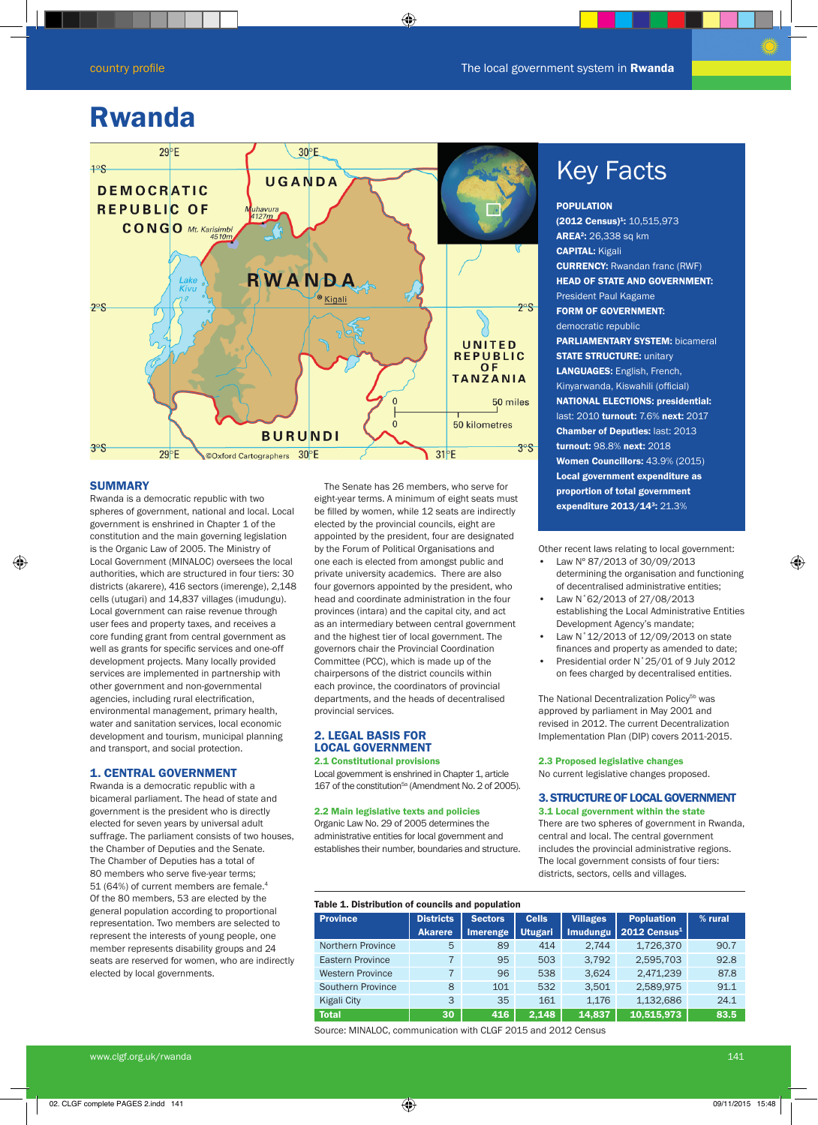# Rwanda



# **SUMMARY**

Rwanda is a democratic republic with two spheres of government, national and local. Local government is enshrined in Chapter 1 of the constitution and the main governing legislation is the Organic Law of 2005. The Ministry of Local Government (MINALOC) oversees the local authorities, which are structured in four tiers: 30 districts (akarere), 416 sectors (imerenge), 2,148 cells (utugari) and 14,837 villages (imudungu). Local government can raise revenue through user fees and property taxes, and receives a core funding grant from central government as well as grants for specific services and one-off development projects. Many locally provided services are implemented in partnership with other government and non-governmental agencies, including rural electrification, environmental management, primary health, water and sanitation services, local economic development and tourism, municipal planning and transport, and social protection.

# 1. CENTRAL GOVERNMENT

Rwanda is a democratic republic with a bicameral parliament. The head of state and government is the president who is directly elected for seven years by universal adult suffrage. The parliament consists of two houses, the Chamber of Deputies and the Senate. The Chamber of Deputies has a total of 80 members who serve five-year terms; 51 (64%) of current members are female.4 Of the 80 members, 53 are elected by the general population according to proportional representation. Two members are selected to represent the interests of young people, one member represents disability groups and 24 seats are reserved for women, who are indirectly elected by local governments.

 The Senate has 26 members, who serve for eight-year terms. A minimum of eight seats must be filled by women, while 12 seats are indirectly elected by the provincial councils, eight are appointed by the president, four are designated by the Forum of Political Organisations and one each is elected from amongst public and private university academics. There are also four governors appointed by the president, who head and coordinate administration in the four provinces (intara) and the capital city, and act as an intermediary between central government and the highest tier of local government. The governors chair the Provincial Coordination Committee (PCC), which is made up of the chairpersons of the district councils within each province, the coordinators of provincial departments, and the heads of decentralised provincial services.

# 2. LEGAL BASIS FOR LOCAL GOVERNMENT

2.1 Constitutional provisions Local government is enshrined in Chapter 1, article 167 of the constitution<sup>5a</sup> (Amendment No. 2 of 2005).

#### 2.2 Main legislative texts and policies

Organic Law No. 29 of 2005 determines the administrative entities for local government and establishes their number, boundaries and structure.

# **Key Facts**

POPULATION (2012 Census)<sup>1</sup>: 10,515,973 **AREA<sup>2</sup>:** 26,338 sq km CAPITAL: Kigali CURRENCY: Rwandan franc (RWF) HEAD OF STATE AND GOVERNMENT: President Paul Kagame FORM OF GOVERNMENT: democratic republic PARLIAMENTARY SYSTEM: bicameral **STATE STRUCTURE: unitary** LANGUAGES: English, French, Kinyarwanda, Kiswahili (official) NATIONAL ELECTIONS: presidential: last: 2010 turnout: 7.6% next: 2017 Chamber of Deputies: last: 2013 turnout: 98.8% next: 2018 Women Councillors: 43.9% (2015) Local government expenditure as proportion of total government expenditure 2013/143: 21.3%

Other recent laws relating to local government:

- Law Nº 87/2013 of 30/09/2013 determining the organisation and functioning of decentralised administrative entities;
- Law N°62/2013 of 27/08/2013 establishing the Local Administrative Entities Development Agency's mandate;
- Law N°12/2013 of 12/09/2013 on state finances and property as amended to date;
- Presidential order N˚25/01 of 9 July 2012 on fees charged by decentralised entities.

The National Decentralization Policy<sup>5b</sup> was approved by parliament in May 2001 and revised in 2012. The current Decentralization Implementation Plan (DIP) covers 2011-2015.

#### 2.3 Proposed legislative changes

No current legislative changes proposed.

# 3. STRUCTURE OF LOCAL GOVERNMENT 3.1 Local government within the state

There are two spheres of government in Rwanda, central and local. The central government includes the provincial administrative regions. The local government consists of four tiers: districts, sectors, cells and villages.

| Table 1. Distribution of councils and population |                  |                |                |                 |                   |         |  |
|--------------------------------------------------|------------------|----------------|----------------|-----------------|-------------------|---------|--|
| <b>Province</b>                                  | <b>Districts</b> | <b>Sectors</b> | <b>Cells</b>   | <b>Villages</b> | <b>Popluation</b> | % rural |  |
|                                                  | <b>Akarere</b>   | Imerenge       | <b>Utugari</b> | <b>Imudungu</b> | 2012 Census $1$   |         |  |
| <b>Northern Province</b>                         | 5                | 89             | 414            | 2,744           | 1,726,370         | 90.7    |  |
| Eastern Province                                 |                  | 95             | 503            | 3.792           | 2,595,703         | 92.8    |  |
| <b>Western Province</b>                          | 7                | 96             | 538            | 3.624           | 2,471,239         | 87.8    |  |
| Southern Province                                | 8                | 101            | 532            | 3.501           | 2,589,975         | 91.1    |  |
| Kigali City                                      | 3                | 35             | 161            | 1.176           | 1,132,686         | 24.1    |  |
| <b>Total</b>                                     | 30               | 416            | 2.148          | 14.837          | 10,515,973        | 83.5    |  |

Source: MINALOC, communication with CLGF 2015 and 2012 Census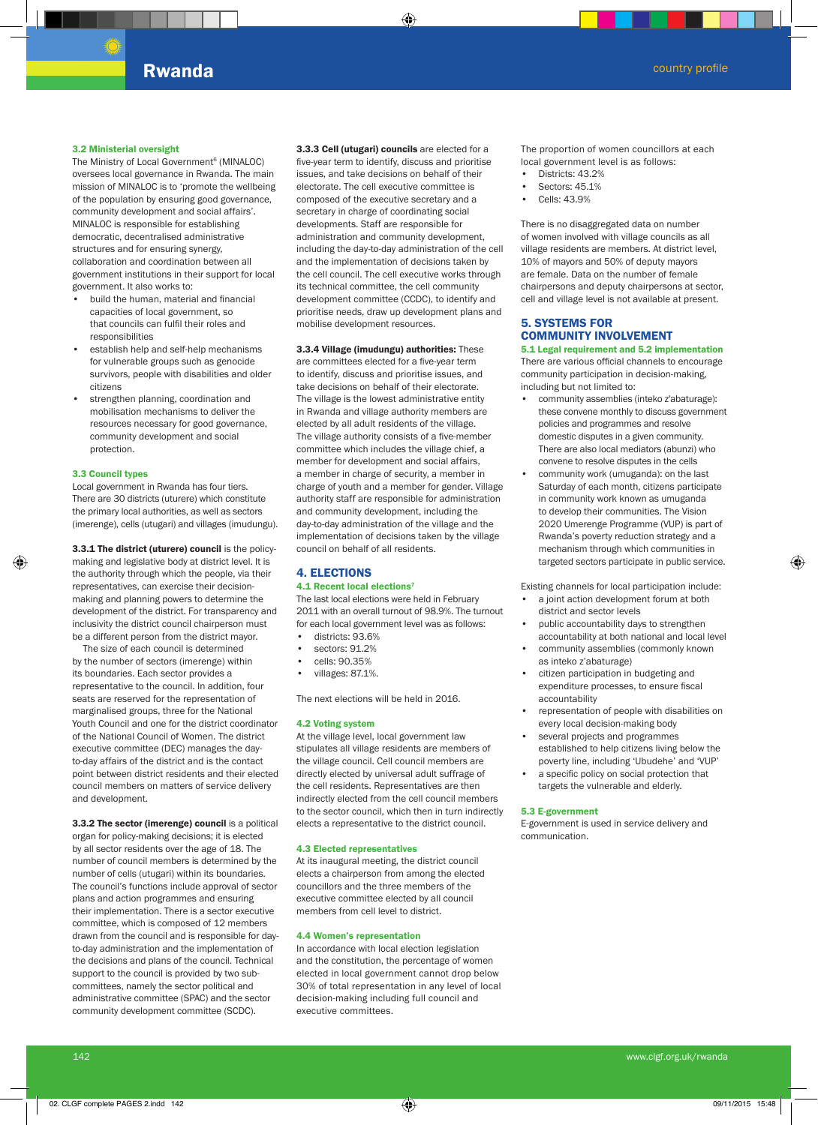#### 3.2 Ministerial oversight

The Ministry of Local Government<sup>6</sup> (MINALOC) oversees local governance in Rwanda. The main mission of MINALOC is to 'promote the wellbeing of the population by ensuring good governance, community development and social affairs'. MINALOC is responsible for establishing democratic, decentralised administrative structures and for ensuring synergy, collaboration and coordination between all government institutions in their support for local government. It also works to:

- build the human, material and financial capacities of local government, so that councils can fulfil their roles and responsibilities
- establish help and self-help mechanisms for vulnerable groups such as genocide survivors, people with disabilities and older citizens
- strengthen planning, coordination and mobilisation mechanisms to deliver the resources necessary for good governance, community development and social protection.

# 3.3 Council types

Local government in Rwanda has four tiers. There are 30 districts (uturere) which constitute the primary local authorities, as well as sectors (imerenge), cells (utugari) and villages (imudungu).

3.3.1 The district (uturere) council is the policymaking and legislative body at district level. It is the authority through which the people, via their representatives, can exercise their decisionmaking and planning powers to determine the development of the district. For transparency and inclusivity the district council chairperson must be a different person from the district mayor.

The size of each council is determined by the number of sectors (imerenge) within its boundaries. Each sector provides a representative to the council. In addition, four seats are reserved for the representation of marginalised groups, three for the National Youth Council and one for the district coordinator of the National Council of Women. The district executive committee (DEC) manages the dayto-day affairs of the district and is the contact point between district residents and their elected council members on matters of service delivery and development.

3.3.2 The sector (imerenge) council is a political organ for policy-making decisions; it is elected by all sector residents over the age of 18. The number of council members is determined by the number of cells (utugari) within its boundaries. The council's functions include approval of sector plans and action programmes and ensuring their implementation. There is a sector executive committee, which is composed of 12 members drawn from the council and is responsible for dayto-day administration and the implementation of the decisions and plans of the council. Technical support to the council is provided by two subcommittees, namely the sector political and administrative committee (SPAC) and the sector community development committee (SCDC).

3.3.3 Cell (utugari) councils are elected for a five-year term to identify, discuss and prioritise issues, and take decisions on behalf of their electorate. The cell executive committee is composed of the executive secretary and a secretary in charge of coordinating social developments. Staff are responsible for administration and community development, including the day-to-day administration of the cell and the implementation of decisions taken by the cell council. The cell executive works through its technical committee, the cell community development committee (CCDC), to identify and prioritise needs, draw up development plans and mobilise development resources.

3.3.4 Village (imudungu) authorities: These are committees elected for a five-year term to identify, discuss and prioritise issues, and take decisions on behalf of their electorate. The village is the lowest administrative entity in Rwanda and village authority members are elected by all adult residents of the village. The village authority consists of a five-member committee which includes the village chief, a member for development and social affairs, a member in charge of security, a member in charge of youth and a member for gender. Village authority staff are responsible for administration and community development, including the day-to-day administration of the village and the implementation of decisions taken by the village council on behalf of all residents.

# 4. ELECTIONS 4.1 Recent local elections7

The last local elections were held in February 2011 with an overall turnout of 98.9%. The turnout for each local government level was as follows:

- districts: 93.6%
- sectors: 91.2%
- cells: 90.35%
- villages: 87.1%.

The next elections will be held in 2016.

# 4.2 Voting system

At the village level, local government law stipulates all village residents are members of the village council. Cell council members are directly elected by universal adult suffrage of the cell residents. Representatives are then indirectly elected from the cell council members to the sector council, which then in turn indirectly elects a representative to the district council.

# 4.3 Elected representatives

At its inaugural meeting, the district council elects a chairperson from among the elected councillors and the three members of the executive committee elected by all council members from cell level to district.

#### 4.4 Women's representation

In accordance with local election legislation and the constitution, the percentage of women elected in local government cannot drop below 30% of total representation in any level of local decision-making including full council and executive committees.

The proportion of women councillors at each local government level is as follows:

- Districts: 43.2%
- Sectors: 45.1%
- Cells: 43.9%

There is no disaggregated data on number of women involved with village councils as all village residents are members. At district level, 10% of mayors and 50% of deputy mayors are female. Data on the number of female chairpersons and deputy chairpersons at sector, cell and village level is not available at present.

# 5. SYSTEMS FOR COMMUNITY INVOLVEMENT

5.1 Legal requirement and 5.2 implementation There are various official channels to encourage community participation in decision-making, including but not limited to:

- community assemblies (inteko z'abaturage): these convene monthly to discuss government policies and programmes and resolve domestic disputes in a given community. There are also local mediators (abunzi) who convene to resolve disputes in the cells
- community work (umuganda): on the last Saturday of each month, citizens participate in community work known as umuganda to develop their communities. The Vision 2020 Umerenge Programme (VUP) is part of Rwanda's poverty reduction strategy and a mechanism through which communities in targeted sectors participate in public service.

Existing channels for local participation include:

- a joint action development forum at both district and sector levels
- public accountability days to strengthen accountability at both national and local level
- community assemblies (commonly known as inteko z'abaturage)
- citizen participation in budgeting and expenditure processes, to ensure fiscal accountability
- representation of people with disabilities on every local decision-making body
- several projects and programmes established to help citizens living below the
- poverty line, including 'Ubudehe' and 'VUP' • a specific policy on social protection that targets the vulnerable and elderly.

#### 5.3 E-government

E-government is used in service delivery and communication.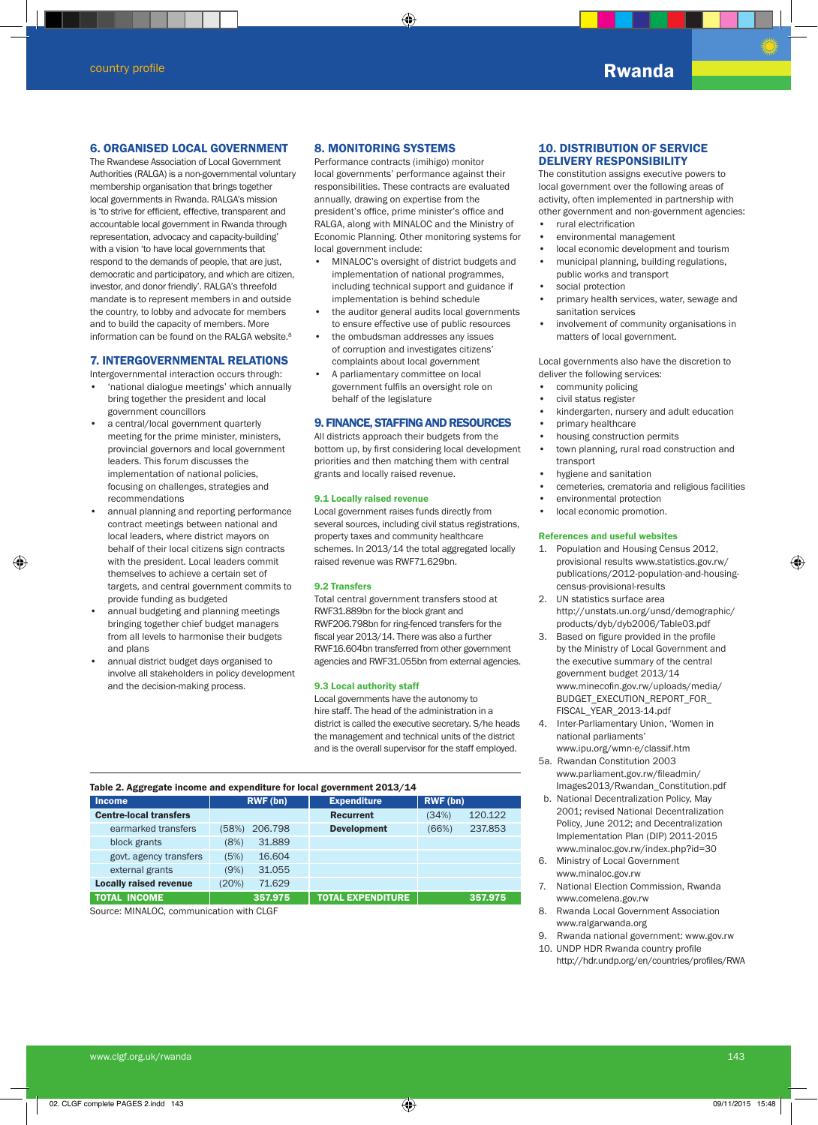# 6. ORGANISED LOCAL GOVERNMENT

The Rwandese Association of Local Government Authorities (RALGA) is a non-governmental voluntary membership organisation that brings together local governments in Rwanda. RALGA's mission is 'to strive for efficient, effective, transparent and accountable local government in Rwanda through representation, advocacy and capacity-building' with a vision 'to have local governments that respond to the demands of people, that are just, democratic and participatory, and which are citizen, investor, and donor friendly'. RALGA's threefold mandate is to represent members in and outside the country, to lobby and advocate for members and to build the capacity of members. More information can be found on the RALGA website. $8$ 

# 7. INTERGOVERNMENTAL RELATIONS

Intergovernmental interaction occurs through:

- 'national dialogue meetings' which annually bring together the president and local government councillors
- a central/local government quarterly meeting for the prime minister, ministers, provincial governors and local government leaders. This forum discusses the implementation of national policies, focusing on challenges, strategies and recommendations
- annual planning and reporting performance contract meetings between national and local leaders, where district mayors on behalf of their local citizens sign contracts with the president. Local leaders commit themselves to achieve a certain set of targets, and central government commits to provide funding as budgeted
- annual budgeting and planning meetings bringing together chief budget managers from all levels to harmonise their budgets and plans
- annual district budget days organised to involve all stakeholders in policy development and the decision-making process.

# 8. MONITORING SYSTEMS

Performance contracts (imihigo) monitor local governments' performance against their responsibilities. These contracts are evaluated annually, drawing on expertise from the president's office, prime minister's office and RALGA, along with MINALOC and the Ministry of Economic Planning. Other monitoring systems for local government include:

- MINALOC's oversight of district budgets and implementation of national programmes, including technical support and guidance if implementation is behind schedule
- the auditor general audits local governments to ensure effective use of public resources
- the ombudsman addresses any issues of corruption and investigates citizens' complaints about local government
- A parliamentary committee on local government fulfils an oversight role on behalf of the legislature

# 9. FINANCE, STAFFING AND RESOURCES

All districts approach their budgets from the bottom up, by first considering local development priorities and then matching them with central grants and locally raised revenue.

### 9.1 Locally raised revenue

Local government raises funds directly from several sources, including civil status registrations, property taxes and community healthcare schemes. In 2013/14 the total aggregated locally raised revenue was RWF71.629bn.

#### 9.2 Transfers

Total central government transfers stood at RWF31.889bn for the block grant and RWF206.798bn for ring-fenced transfers for the fiscal year 2013/14. There was also a further RWF16.604bn transferred from other government agencies and RWF31.055bn from external agencies.

#### 9.3 Local authority staff

Local governments have the autonomy to hire staff. The head of the administration in a district is called the executive secretary. S/he heads the management and technical units of the district and is the overall supervisor for the staff employed.

#### Table 2. Aggregate income and expenditure for local government 2013/14

| <b>Income</b>                 | RWF (bn) |         | <b>Expenditure</b> | RWF (bn) |         |
|-------------------------------|----------|---------|--------------------|----------|---------|
| <b>Centre-local transfers</b> |          |         | <b>Recurrent</b>   | (34%)    | 120.122 |
| earmarked transfers           | (58%)    | 206.798 | <b>Development</b> | (66%)    | 237.853 |
| block grants                  | (8%)     | 31,889  |                    |          |         |
| govt. agency transfers        | (5%)     | 16.604  |                    |          |         |
| external grants               | (9%)     | 31.055  |                    |          |         |
| <b>Locally raised revenue</b> | (20%)    | 71.629  |                    |          |         |
| <b>TOTAL INCOME</b>           |          | 357.975 | TOTAL EXPENDITURE  |          | 357.975 |

Source: MINALOC, communication with CLGF

# 10. DISTRIBUTION OF SERVICE DELIVERY RESPONSIBILITY

The constitution assigns executive powers to local government over the following areas of activity, often implemented in partnership with other government and non-government agencies: • rural electrification

- environmental management
- local economic development and tourism
- municipal planning, building regulations, public works and transport
- social protection
- primary health services, water, sewage and sanitation services
- involvement of community organisations in matters of local government.

Local governments also have the discretion to deliver the following services:

- community policing
- civil status register
- kindergarten, nursery and adult education
- primary healthcare
- housing construction permits
- town planning, rural road construction and transport
- hygiene and sanitation
- cemeteries, crematoria and religious facilities
- environmental protection
- local economic promotion.

# References and useful websites

- 1. Population and Housing Census 2012, provisional results www.statistics.gov.rw/ publications/2012-population-and-housingcensus-provisional-results
- 2. UN statistics surface area http://unstats.un.org/unsd/demographic/ products/dyb/dyb2006/Table03.pdf
- 3. Based on figure provided in the profile by the Ministry of Local Government and the executive summary of the central government budget 2013/14 www.minecofin.gov.rw/uploads/media/ BUDGET\_EXECUTION\_REPORT\_FOR\_ FISCAL\_YEAR\_2013-14.pdf
- 4. Inter-Parliamentary Union, 'Women in national parliaments' www.ipu.org/wmn-e/classif.htm
- 5a. Rwandan Constitution 2003 www.parliament.gov.rw/fileadmin/ Images2013/Rwandan\_Constitution.pdf
- b. National Decentralization Policy, May 2001; revised National Decentralization Policy, June 2012; and Decentralization Implementation Plan (DIP) 2011-2015 www.minaloc.gov.rw/index.php?id=30
- 6. Ministry of Local Government www.minaloc.gov.rw
- 7. National Election Commission, Rwanda www.comelena.gov.rw
- 8. Rwanda Local Government Association www.ralgarwanda.org
- 9. Rwanda national government: www.gov.rw
- 10. UNDP HDR Rwanda country profile http://hdr.undp.org/en/countries/profiles/RWA